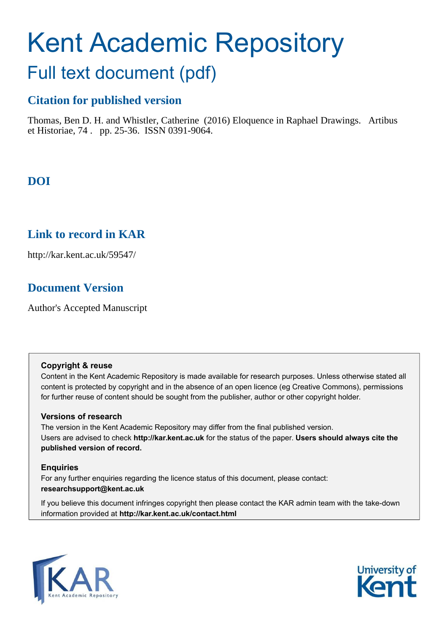# Kent Academic Repository

# Full text document (pdf)

## **Citation for published version**

Thomas, Ben D. H. and Whistler, Catherine (2016) Eloquence in Raphael Drawings. Artibus et Historiae, 74 . pp. 25-36. ISSN 0391-9064.

# **DOI**

## **Link to record in KAR**

http://kar.kent.ac.uk/59547/

## **Document Version**

Author's Accepted Manuscript

## **Copyright & reuse**

Content in the Kent Academic Repository is made available for research purposes. Unless otherwise stated all content is protected by copyright and in the absence of an open licence (eg Creative Commons), permissions for further reuse of content should be sought from the publisher, author or other copyright holder.

## **Versions of research**

The version in the Kent Academic Repository may differ from the final published version. Users are advised to check **http://kar.kent.ac.uk** for the status of the paper. **Users should always cite the published version of record.**

## **Enquiries**

For any further enquiries regarding the licence status of this document, please contact: **researchsupport@kent.ac.uk**

If you believe this document infringes copyright then please contact the KAR admin team with the take-down information provided at **http://kar.kent.ac.uk/contact.html**



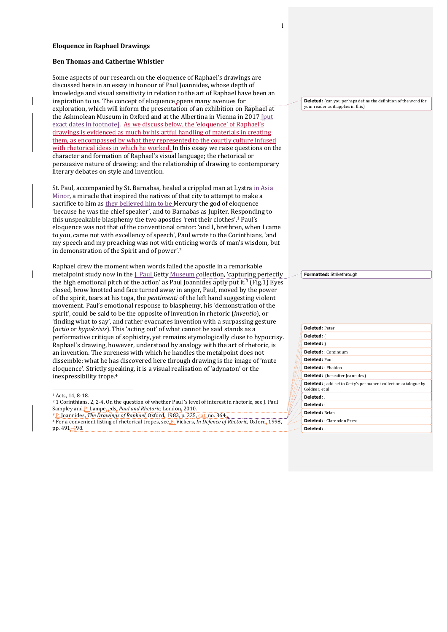#### **Eloquence in Raphael Drawings**

#### **Ben Thomas and Catherine Whistler**

Some aspects of our research on the eloquence of Raphael's drawings are discussed here in an essay in honour of Paul Joannides, whose depth of knowledge and visual sensitivity in relation to the art of Raphael have been an inspiration to us. The concept of eloquence opens many avenues for exploration, which will inform the presentation of an exhibition on Raphael at the Ashmolean Museum in Oxford and at the Albertina in Vienna in 2017 [put exact dates in footnote]. As we discuss below, the 'eloquence' of Raphael's drawings is evidenced as much by his artful handling of materials in creating them, as encompassed by what they represented to the courtly culture infused with rhetorical ideas in which he worked. In this essay we raise questions on the character and formation of Raphael's visual language; the rhetorical or persuasive nature of drawing; and the relationship of drawing to contemporary literary debates on style and invention.

St. Paul, accompanied by St. Barnabas, healed a crippled man at Lystra in Asia Minor, a miracle that inspired the natives of that city to attempt to make a sacrifice to him as they believed him to be Mercury the god of eloquence 'because he was the chief speaker', and to Barnabas as Jupiter. Responding to this unspeakable blasphemy the two apostles 'rent their clothes'.<sup>1</sup> Paul's eloquence was not that of the conventional orator: 'and I, brethren, when I came to you, came not with excellency of speech', Paul wrote to the Corinthians, 'and my speech and my preaching was not with enticing words of man's wisdom, but in demonstration of the Spirit and of power'.<sup>2</sup>

Raphael drew the moment when words failed the apostle in a remarkable metalpoint study now in the J. Paul Getty Museum collection, 'capturing perfectly the high emotional pitch of the action' as Paul Joannides aptly put it.<sup>3</sup> (Fig.1) Eyes closed, brow knotted and face turned away in anger, Paul, moved by the power of the spirit, tears at his toga, the *pentimenti* of the left hand suggesting violent movement. Paul's emotional response to blasphemy, his 'demonstration of the spirit', could be said to be the opposite of invention in rhetoric (*inventio*), or 'finding what to say', and rather evacuates invention with a surpassing gesture (*actio* or *hypokrisis*). This 'acting out' of what cannot be said stands as a performative critique of sophistry, yet remains etymologically close to hypocrisy. Raphael's drawing, however, understood by analogy with the art of rhetoric, is an invention. The sureness with which he handles the metalpoint does not dissemble: what he has discovered here through drawing is the image of 'mute eloquence'. Strictly speaking, it is a visual realisation of 'adynaton' or the inexpressibility trope.<sup>4</sup>

<sup>1</sup> Acts, 14, 8-18.

 $\overline{a}$ 

 $^2$  1 Corinthians, 2, 2-4. On the question of whether Paul 's level of interest in rhetoric, see J. Paul Sampley and P. Lampe, eds. Paul and Rhetoric, London, 2010.

<sup>3</sup> P. Joannides, *The Drawings of Raphael*, Oxford, 1983, p. 225, cat. no. 364. 4 For a convenient listing of rhetorical tropes, see B. Vickers, *In Defence of Rhetoric*, Oxford, 1998, pp. 491–498.

**Deleted:** (can you perhaps define the definition of the word for your reader as it applies in this)

**Formatted:** Strikethrough

| <b>Deleted: Peter</b>                                                                    |
|------------------------------------------------------------------------------------------|
| <b>Deleted:</b> (                                                                        |
| Deleted: )                                                                               |
| Deleted: : Continuum                                                                     |
| <b>Deleted: Paul</b>                                                                     |
| <b>Deleted:</b> : Phaidon                                                                |
| <b>Deleted:</b> (hereafter Joannides)                                                    |
| <b>Deleted:</b> ; add ref to Getty's permanent collection catalogue by<br>Goldner, et al |
| Deleted:                                                                                 |
| Deleted:                                                                                 |
| Deleted: Brian                                                                           |
| <b>Deleted:</b> : Clarendon Press                                                        |
| Deleted: -                                                                               |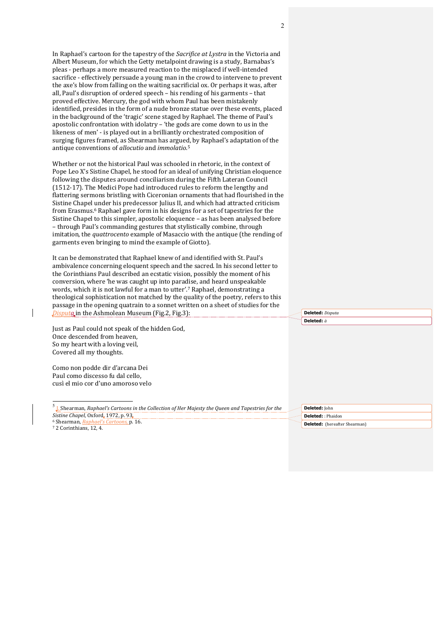In Raphael's cartoon for the tapestry of the *Sacrifice at Lystra* in the Victoria and Albert Museum, for which the Getty metalpoint drawing is a study, Barnabas's pleas - perhaps a more measured reaction to the misplaced if well-intended sacrifice - effectively persuade a young man in the crowd to intervene to prevent the axe's blow from falling on the waiting sacrificial ox. Or perhaps it was, after all, Paul's disruption of ordered speech - his rending of his garments - that proved effective. Mercury, the god with whom Paul has been mistakenly identified, presides in the form of a nude bronze statue over these events, placed in the background of the 'tragic' scene staged by Raphael. The theme of Paul's apostolic confrontation with idolatry  $-$  'the gods are come down to us in the likeness of men' - is played out in a brilliantly orchestrated composition of surging figures framed, as Shearman has argued, by Raphael's adaptation of the antique conventions of *allocutio* and *immolatio*.<sup>5</sup>

Whether or not the historical Paul was schooled in rhetoric, in the context of Pope Leo X's Sistine Chapel, he stood for an ideal of unifying Christian eloquence following the disputes around conciliarism during the Fifth Lateran Council (1512-17). The Medici Pope had introduced rules to reform the lengthy and flattering sermons bristling with Ciceronian ornaments that had flourished in the Sistine Chapel under his predecessor Julius II, and which had attracted criticism from Erasmus.<sup>6</sup> Raphael gave form in his designs for a set of tapestries for the Sistine Chapel to this simpler, apostolic eloquence - as has been analysed before – through Paul's commanding gestures that stylistically combine, through imitation, the *quattrocento* example of Masaccio with the antique (the rending of garments even bringing to mind the example of Giotto).

It can be demonstrated that Raphael knew of and identified with St. Paul's ambivalence concerning eloquent speech and the sacred. In his second letter to the Corinthians Paul described an ecstatic vision, possibly the moment of his conversion, where 'he was caught up into paradise, and heard unspeakable words, which it is not lawful for a man to utter'.7 Raphael, demonstrating a theological sophistication not matched by the quality of the poetry, refers to this passage in the opening quatrain to a sonnet written on a sheet of studies for the *Disputa* in the Ashmolean Museum (Fig.2, Fig.3):

Just as Paul could not speak of the hidden God, Once descended from heaven, So my heart with a loving veil, Covered all my thoughts.

Como non podde dir d'arcana Dei Paul como discesso fu dal cello, cusì el mio cor d'uno amoroso velo

<sup>5</sup> J. Shearman, *Raphael's Cartoons in the Collection of Her Majesty the Queen and Tapestries for the Sistine Chapel*, Oxford, 1972, p. 93.

6 Shearman, *Raphael's Cartoons*, p. 16. <sup>7</sup> 2 Corinthians, 12, 4.

**Deleted:** *Disputa* **Deleted:** *à*

**Deleted:** John **Deleted:** : Phaidon **Deleted:** (hereafter Shearman)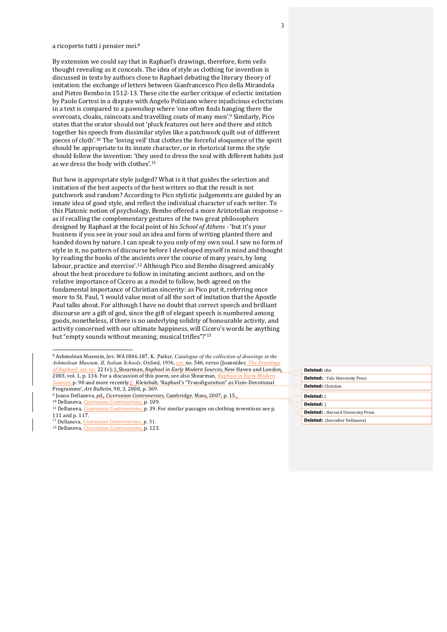#### a ricoperto tutti i pensier mei.<sup>8</sup>

By extension we could say that in Raphael's drawings, therefore, form veils thought revealing as it conceals. The idea of style as clothing for invention is discussed in texts by authors close to Raphael debating the literary theory of imitation: the exchange of letters between Gianfrancesco Pico della Mirandola and Pietro Bembo in 1512-13. These cite the earlier critique of eclectic imitation by Paolo Cortesi in a dispute with Angelo Poliziano where injudicious eclecticism in a text is compared to a pawnshop where 'one often finds hanging there the overcoats, cloaks, raincoats and travelling coats of many men'.<sup>9</sup> Similarly, Pico states that the orator should not 'pluck features out here and there and stitch together his speech from dissimilar styles like a patchwork quilt out of different pieces of cloth'.<sup>10</sup> The 'loving veil' that clothes the forceful eloquence of the spirit should be appropriate to its innate character, or in rhetorical terms the style should follow the invention: 'they used to dress the soul with different habits just as we dress the body with clothes'.<sup>11</sup>

But how is appropriate style judged? What is it that guides the selection and imitation of the best aspects of the best writers so that the result is not patchwork and random? According to Pico stylistic judgements are guided by an innate idea of good style, and reflect the individual character of each writer. To this Platonic notion of psychology, Bembo offered a more Aristotelian response – as if recalling the complementary gestures of the two great philosophers designed by Raphael at the focal point of his *School of Athens* - 'but it's your business if you see in your soul an idea and form of writing planted there and handed down by nature. I can speak to you only of my own soul. I saw no form of style in it, no pattern of discourse before I developed myself in mind and thought by reading the books of the ancients over the course of many years, by long labour, practice and exercise'.<sup>12</sup> Although Pico and Bembo disagreed amicably about the best procedure to follow in imitating ancient authors, and on the relative importance of Cicero as a model to follow, both agreed on the fundamental importance of Christian sincerity: as Pico put it, referring once more to St. Paul, 'I would value most of all the sort of imitation that the Apostle Paul talks about. For although I have no doubt that correct speech and brilliant discourse are a gift of god, since the gift of elegant speech is numbered among goods, nonetheless, if there is no underlying solidity of honourable activity, and activity concerned with our ultimate happiness, will Cicero's words be anything but "empty sounds without meaning, musical trifles"?'<sup>13</sup>

 $\ddot{\phantom{a}}$ 

# **Deleted:** ohn

|  | <b>Deleted:</b> : Yale University Press    |  |  |
|--|--------------------------------------------|--|--|
|  | <b>Deleted:</b> Christian                  |  |  |
|  | Deleted: (                                 |  |  |
|  | Deleted: )                                 |  |  |
|  | <b>Deleted:</b> : Harvard University Press |  |  |
|  | <b>Deleted:</b> (hereafter Dellaneva)      |  |  |

<sup>&</sup>lt;sup>8</sup> Ashmolean Museum, Inv. WA1846.187, K. Parker, *Catalogue of the collection of drawings in the Ashmolean Museum, II, Italian Schools, Oxford, 1956, cat. no.* 546, verso (Joannides, *The Drawings* of Raphael, cat. no. 221v); J<sub>.</sub> Shearman, *Raphael in Early Modern Sources*, New Haven and London, 2003, vol. 1, p. 134. For a discussion of this poem, see also Shearman, *Raphael Sources*, p. 90 and more recently C. Kleinbub, 'Raphael's "Transfiguration" as Visio-Devotional Programme', Art Bulletin, 90, 3, 2008, p. 369.

<sup>&</sup>lt;sup>9</sup> Joann Dellaneva, ed., *Ciceronian Controversies*, Cambridge, Mass, 2007, p. 15.

<sup>10</sup> Dellaneva, *Ciceronian Controversies*, p. 109.

<sup>&</sup>lt;sup>11</sup> Dellaneva, *Ciceronian Controversies*, p. 39. For similar passages on clothing inventions see p. 111 and p. 117.

<sup>12</sup> Dellaneva, *Ciceronian Controversies*, p. 51.

<sup>&</sup>lt;sup>13</sup> Dellaneva, *Ciceronian Controversies*, p. 123.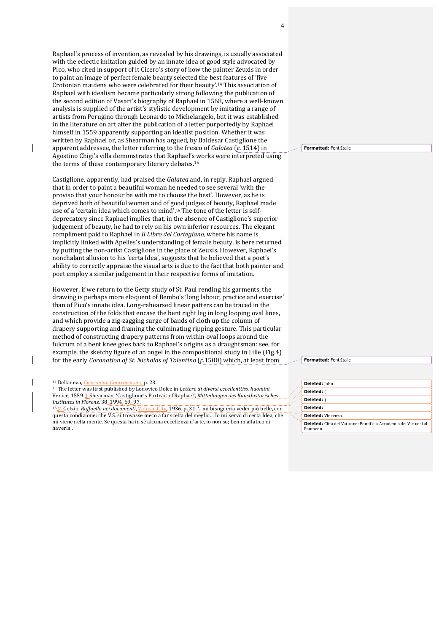Raphael's process of invention, as revealed by his drawings, is usually associated with the eclectic imitation guided by an innate idea of good style advocated by Pico, who cited in support of it Cicero's story of how the painter Zeuxis in order to paint an image of perfect female beauty selected the best features of 'five Crotonian maidens who were celebrated for their beauty'.<sup>14</sup> This association of Raphael with idealism became particularly strong following the publication of the second edition of Vasari's biography of Raphael in 1568, where a well-known analysis is supplied of the artist's stylistic development by imitating a range of artists from Perugino through Leonardo to Michelangelo, but it was established in the literature on art after the publication of a letter purportedly by Raphael himself in 1559 apparently supporting an idealist position. Whether it was written by Raphael or, as Shearman has argued, by Baldesar Castiglione the apparent addressee, the letter referring to the fresco of *Galatea* (*c.* 1514) in Agostino Chigi's villa demonstrates that Raphael's works were interpreted using the terms of these contemporary literary debates.<sup>15</sup>

Castiglione, apparently, had praised the *Galatea* and, in reply, Raphael argued that in order to paint a beautiful woman he needed to see several 'with the proviso that your honour be with me to choose the best'. However, as he is deprived both of beautiful women and of good judges of beauty, Raphael made use of a 'certain idea which comes to mind'.<sup>16</sup> The tone of the letter is selfdeprecatory since Raphael implies that, in the absence of Castiglione's superior judgement of beauty, he had to rely on his own inferior resources. The elegant compliment paid to Raphael in *Il Libro del Cortegiano*, where his name is implicitly linked with Apelles's understanding of female beauty, is here returned by putting the non-artist Castiglione in the place of Zeuxis. However, Raphael's nonchalant allusion to his 'certa Idea', suggests that he believed that a poet's ability to correctly appraise the visual arts is due to the fact that both painter and poet employ a similar judgement in their respective forms of imitation.

However, if we return to the Getty study of St. Paul rending his garments, the drawing is perhaps more eloquent of Bembo's 'long labour, practice and exercise' than of Pico's innate idea. Long-rehearsed linear patters can be traced in the construction of the folds that encase the bent right leg in long looping oval lines, and which provide a zig-zagging surge of bands of cloth up the column of drapery supporting and framing the culminating ripping gesture. This particular method of constructing drapery patterns from within oval loops around the fulcrum of a bent knee goes back to Raphael's origins as a draughtsman: see, for example, the sketchy figure of an angel in the compositional study in Lille (Fig.4) for the early *Coronation of St. Nicholas of Tolentino* (*c*.1500) which, at least from

 $\overline{a}$ 

**Formatted:** Font:Italic

**Formatted:** Font:Italic

| Deleted: John                                                            |
|--------------------------------------------------------------------------|
| Deleted: (                                                               |
| Deleted: )                                                               |
| Deleted: -                                                               |
| <b>Deleted:</b> Vincenzo                                                 |
| <b>Deleted:</b> Città del Vaticano: Pontificia Accademia dei Virtuosi al |
| Pantheon                                                                 |

<sup>14</sup> Dellaneva, *Ciceronian Controversies*, p. 23.

<sup>&</sup>lt;sup>15</sup> The letter was first published by Lodovico Dolce in *Lettere di diversi eccellenttiss. huomini*, Venice, 1559.*J.* Shearman, 'Castiglione's Portrait of Raphael', *Mitteilungen des Kunsthistorisches Institutes in Florenz*, 38, 1994, 69-97.

<sup>&</sup>lt;sup>16</sup> V. Golzio, *Raffaello nei documenti*, Vatican City, 1936, p. 31: '...mi bisogneria veder più belle, con questa condizione: che V.S. si trovasse meco a far scelta del meglio... Io mi servo di certa Idea, che mi viene nella mente. Se questa ha in sè alcuna eccellenza d'arte, io non so; ben m'affatico di haverla'.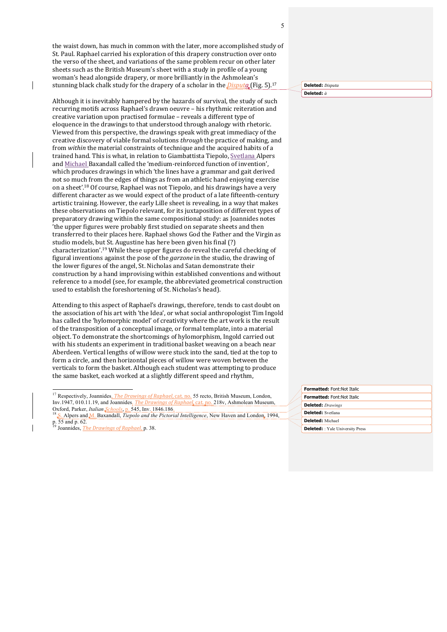the waist down, has much in common with the later, more accomplished study of St. Paul. Raphael carried his exploration of this drapery construction over onto the verso of the sheet, and variations of the same problem recur on other later sheets such as the British Museum's sheet with a study in profile of a young woman's head alongside drapery, or more brilliantly in the Ashmolean's stunning black chalk study for the drapery of a scholar in the *Disputo.* (Fig. 5).<sup>17</sup>

Although it is inevitably hampered by the hazards of survival, the study of such recurring motifs across Raphael's drawn oeuvre - his rhythmic reiteration and creative variation upon practised formulae - reveals a different type of eloquence in the drawings to that understood through analogy with rhetoric. Viewed from this perspective, the drawings speak with great immediacy of the creative discovery of viable formal solutions *through* the practice of making, and from *within* the material constraints of technique and the acquired habits of a trained hand. This is what, in relation to Giambattista Tiepolo, Svetlana Alpers and Michael Baxandall called the 'medium-reinforced function of invention', which produces drawings in which 'the lines have a grammar and gait derived not so much from the edges of things as from an athletic hand enjoying exercise on a sheet'.<sup>18</sup> Of course, Raphael was not Tiepolo, and his drawings have a very different character as we would expect of the product of a late fifteenth-century artistic training. However, the early Lille sheet is revealing, in a way that makes these observations on Tiepolo relevant, for its juxtaposition of different types of preparatory drawing within the same compositional study: as Joannides notes 'the upper figures were probably first studied on separate sheets and then transferred to their places here. Raphael shows God the Father and the Virgin as studio models, but St. Augustine has here been given his final (?) characterization'.<sup>19</sup> While these upper figures do reveal the careful checking of figural inventions against the pose of the *garzone* in the studio, the drawing of the lower figures of the angel, St. Nicholas and Satan demonstrate their construction by a hand improvising within established conventions and without reference to a model (see, for example, the abbreviated geometrical construction used to establish the foreshortening of St. Nicholas's head).

Attending to this aspect of Raphael's drawings, therefore, tends to cast doubt on the association of his art with 'the Idea', or what social anthropologist Tim Ingold has called the 'hylomorphic model' of creativity where the art work is the result of the transposition of a conceptual image, or formal template, into a material object. To demonstrate the shortcomings of hylomorphism, Ingold carried out with his students an experiment in traditional basket weaving on a beach near Aberdeen. Vertical lengths of willow were stuck into the sand, tied at the top to form a circle, and then horizontal pieces of willow were woven between the verticals to form the basket. Although each student was attempting to produce the same basket, each worked at a slightly different speed and rhythm,

 $\overline{a}$ 

**Deleted:** *Disputa* **Deleted:** *à*

### **Formatted:** Font:Not Italic **Formatted:** Font:Not Italic **Deleted:** *Drawings* **Deleted:** Svetlana **Deleted:** Michael **Deleted:** : Yale University Press

<sup>&</sup>lt;sup>17</sup> Respectively, Joannides, *The Drawings of Raphael*, cat. no. 55 recto, British Museum, London, Inv.1947, 010.11.19, and Joannides, *The Drawings of Raphael*, cat. no. 218v, Ashmolean Museum, Oxford, Parker, *Italian Schools*, p. 545, Inv. 1846.186. Oxford, Parker, *Italian Schools*,

<sup>18</sup> S. Alpers and M. Baxandall, *Tiepolo and the Pictorial Intelligence*, New Haven and London, 1994, p. 55 and p. 62.<br><sup>19</sup> Joannides, <u>*The Drawings of Raphael*, p</u>. 38.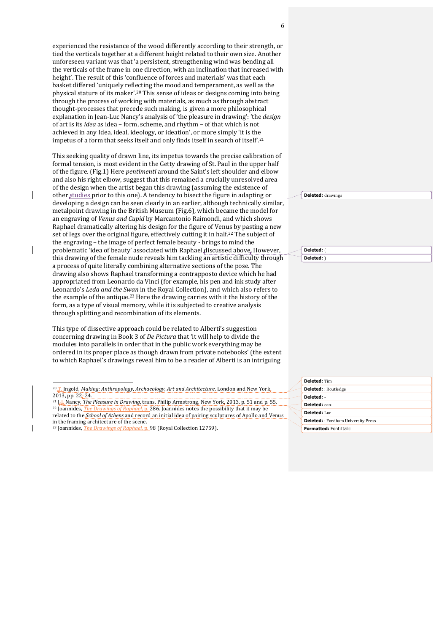experienced the resistance of the wood differently according to their strength, or tied the verticals together at a different height related to their own size. Another unforeseen variant was that 'a persistent, strengthening wind was bending all the verticals of the frame in one direction, with an inclination that increased with height'. The result of this 'confluence of forces and materials' was that each basket differed 'uniquely reflecting the mood and temperament, as well as the physical stature of its maker'.<sup>20</sup> This sense of ideas or designs coming into being through the process of working with materials, as much as through abstract thought-processes that precede such making, is given a more philosophical explanation in Jean-Luc Nancy's analysis of 'the pleasure in drawing': 'the *design* of art is its *idea* as idea – form, scheme, and rhythm – of that which is not achieved in any Idea, ideal, ideology, or ideation', or more simply 'it is the impetus of a form that seeks itself and only finds itself in search of itself.<sup>21</sup>

This seeking quality of drawn line, its impetus towards the precise calibration of formal tension, is most evident in the Getty drawing of St. Paul in the upper half of the figure. (Fig.1) Here *pentimenti* around the Saint's left shoulder and elbow and also his right elbow, suggest that this remained a crucially unresolved area of the design when the artist began this drawing (assuming the existence of other studies prior to this one). A tendency to bisect the figure in adapting or developing a design can be seen clearly in an earlier, although technically similar, metalpoint drawing in the British Museum (Fig.6), which became the model for an engraving of *Venus and Cupid* by Marcantonio Raimondi, and which shows Raphael dramatically altering his design for the figure of Venus by pasting a new set of legs over the original figure, effectively cutting it in half.<sup>22</sup> The subject of the engraving - the image of perfect female beauty - brings to mind the problematic 'idea of beauty' associated with Raphael discussed above. However, this drawing of the female nude reveals him tackling an artistic difficulty through a process of quite literally combining alternative sections of the pose. The drawing also shows Raphael transforming a contrapposto device which he had appropriated from Leonardo da Vinci (for example, his pen and ink study after Leonardo's *Leda and the Swan* in the Royal Collection), and which also refers to the example of the antique.<sup>23</sup> Here the drawing carries with it the history of the form, as a type of visual memory, while it is subjected to creative analysis through splitting and recombination of its elements.

This type of dissective approach could be related to Alberti's suggestion concerning drawing in Book 3 of *De Pictura* that 'it will help to divide the modules into parallels in order that in the public work everything may be ordered in its proper place as though drawn from private notebooks' (the extent to which Raphael's drawings reveal him to be a reader of Alberti is an intriguing

 $\ddot{\phantom{a}}$ 

 $\overline{\phantom{a}}$ 

**Deleted:** drawings 

**Deleted:** ( **Deleted:** )

| <b>Deleted: Tim</b>                        |
|--------------------------------------------|
| <b>Deleted:</b> : Routledge                |
| Deleted: -                                 |
| Deleted: ean-                              |
| Deleted: Luc                               |
| <b>Deleted:</b> : Fordham University Press |
| <b>Formatted: Font: Italic</b>             |

<sup>&</sup>lt;sup>20</sup> T. Ingold, *Making: Anthropology, Archaeology, Art and Architecture*, London and New York, 2013, pp. 22-24.

<sup>&</sup>lt;sup>21</sup> J.J. Nancy, *The Pleasure in Drawing*, trans. Philip Armstrong, New York, 2013, p. 51 and p. 55. <sup>22</sup> Joannides, *The Drawings of Raphael*, p. 286. Joannides notes the possibility that it may be related to the *School of Athens* and record an initial idea of pairing sculptures of Apollo and Venus in the framing architecture of the scene.

<sup>&</sup>lt;sup>23</sup> Joannides, *The Drawings of Raphael*, p. 98 (Royal Collection 12759).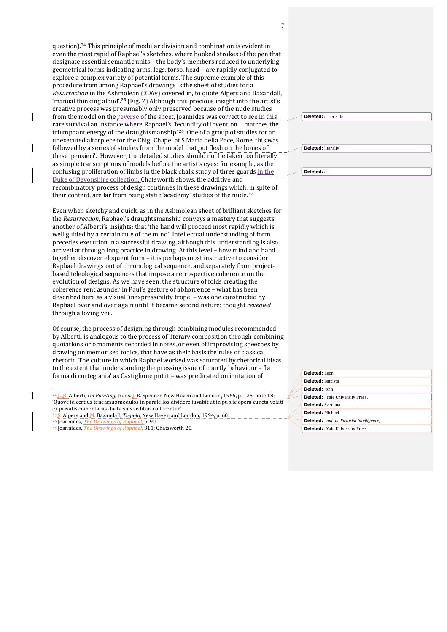question).<sup>24</sup> This principle of modular division and combination is evident in even the most rapid of Raphael's sketches, where hooked strokes of the pen that designate essential semantic units - the body's members reduced to underlying geometrical forms indicating arms, legs, torso, head – are rapidly conjugated to explore a complex variety of potential forms. The supreme example of this procedure from among Raphael's drawings is the sheet of studies for a *Resurrection* in the Ashmolean (306v) covered in, to quote Alpers and Baxandall, 'manual thinking aloud'.<sup>25</sup> (Fig. 7) Although this precious insight into the artist's creative process was presumably only preserved because of the nude studies from the model on the reverse of the sheet, Joannides was correct to see in this rare survival an instance where Raphael's 'fecundity of invention... matches the triumphant energy of the draughtsmanship'.<sup>26</sup> One of a group of studies for an unexecuted altarpiece for the Chigi Chapel at S.Maria della Pace, Rome, this was followed by a series of studies from the model that put flesh on the bones of these 'pensieri'. However, the detailed studies should not be taken too literally as simple transcriptions of models before the artist's eyes: for example, as the confusing proliferation of limbs in the black chalk study of three guards in the Duke of Devonshire collection, Chatsworth shows, the additive and recombinatory process of design continues in these drawings which, in spite of their content, are far from being static 'academy' studies of the nude.<sup>27</sup>

Even when sketchy and quick, as in the Ashmolean sheet of brilliant sketches for the *Resurrection*, Raphael's draughtsmanship conveys a mastery that suggests another of Alberti's insights: that 'the hand will proceed most rapidly which is well guided by a certain rule of the mind'. Intellectual understanding of form precedes execution in a successful drawing, although this understanding is also arrived at through long practice in drawing. At this level - how mind and hand together discover eloquent form - it is perhaps most instructive to consider Raphael drawings out of chronological sequence, and separately from projectbased teleological sequences that impose a retrospective coherence on the evolution of designs. As we have seen, the structure of folds creating the coherence rent asunder in Paul's gesture of abhorrence - what has been described here as a visual 'inexpressibility trope' – was one constructed by Raphael over and over again until it became second nature: thought *revealed* through a loving veil.

Of course, the process of designing through combining modules recommended by Alberti, is analogous to the process of literary composition through combining quotations or ornaments recorded in notes, or even of improvising speeches by drawing on memorised topics, that have as their basis the rules of classical rhetoric. The culture in which Raphael worked was saturated by rhetorical ideas to the extent that understanding the pressing issue of courtly behaviour - 'la forma di cortegiania' as Castiglione put it - was predicated on imitation of

 $\overline{a}$ 

 $\overline{\phantom{a}}$ 

| <b>Deleted:</b> other side |  |
|----------------------------|--|
|----------------------------|--|

**Deleted:** literally 

**Deleted:** at 

| Deleted: Leon            |                                                 |
|--------------------------|-------------------------------------------------|
| <b>Deleted: Battista</b> |                                                 |
| Deleted: John            |                                                 |
| u,                       | <b>Deleted:</b> : Yale University Press,        |
|                          | <b>Deleted:</b> Svetlana                        |
| Deleted: Michael         |                                                 |
|                          | <b>Deleted:</b> and the Pictorial Intelligence, |
|                          | <b>Deleted:</b> : Yale University Press         |

<sup>&</sup>lt;sup>24</sup> L. B. Alberti, *On Painting*, trans. J. R. Spencer, New Haven and London, 1966, p. 135, note 18: 'Quove id certius teneamus modulos in paralellos dividere iuvabit ut in public opera cuncta veluti ex privatis comentariis ducta suis sedibus collocentur'

<sup>&</sup>lt;sup>25</sup> S. Alpers and *M.* Baxandall, *Tiepolo*, New Haven and London, 1994, p. 60.

<sup>&</sup>lt;sup>26</sup> Joannides, *The Drawings of Raphael*, p. 90.

<sup>&</sup>lt;sup>27</sup> Joannides, *The Drawings of Raphael*, 311; Chatsworth 20.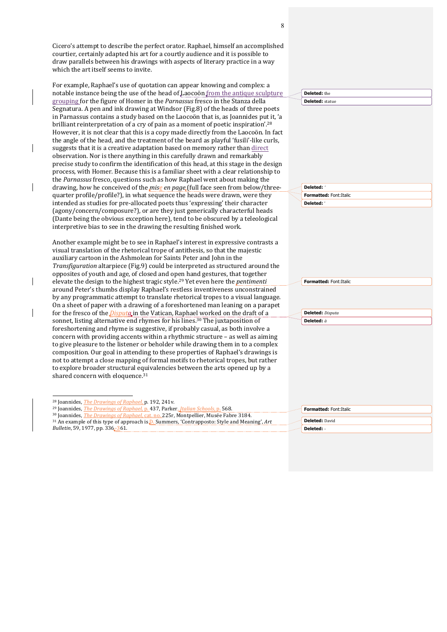Cicero's attempt to describe the perfect orator. Raphael, himself an accomplished courtier, certainly adapted his art for a courtly audience and it is possible to draw parallels between his drawings with aspects of literary practice in a way which the art itself seems to invite.

For example, Raphael's use of quotation can appear knowing and complex: a notable instance being the use of the head of Laocoön from the antique sculpture grouping for the figure of Homer in the *Parnassus* fresco in the Stanza della Segnatura. A pen and ink drawing at Windsor (Fig.8) of the heads of three po in Parnassus contains a study based on the Laocoön that is, as Joannides put brilliant reinterpretation of a cry of pain as a moment of poetic inspiration'.<sup>28</sup> However, it is not clear that this is a copy made directly from the Laocoön. In the angle of the head, and the treatment of the beard as playful 'fusili'-like cu suggests that it is a creative adaptation based on memory rather than direct observation. Nor is there anything in this carefully drawn and remarkably precise study to confirm the identification of this head, at this stage in the de process, with Homer. Because this is a familiar sheet with a clear relationshi the *Parnassus* fresco, questions such as how Raphael went about making the drawing, how he conceived of the *mise en page* (full face seen from below/th quarter profile/profile?), in what sequence the heads were drawn, were they intended as studies for pre-allocated poets thus 'expressing' their character (agony/concern/composure?), or are they just generically characterful head (Dante being the obvious exception here), tend to be obscured by a teleologi interpretive bias to see in the drawing the resulting finished work.

Another example might be to see in Raphael's interest in expressive contrast visual translation of the rhetorical trope of antithesis, so that the majestic auxiliary cartoon in the Ashmolean for Saints Peter and John in the *Transfiguration* altarpiece (Fig.9) could be interpreted as structured around opposites of youth and age, of closed and open hand gestures, that together elevate the design to the highest tragic style.<sup>29</sup> Yet even here the *pentimenti* around Peter's thumbs display Raphael's restless inventiveness unconstrain by any programmatic attempt to translate rhetorical tropes to a visual langu On a sheet of paper with a drawing of a foreshortened man leaning on a para for the fresco of the *Disputa* in the Vatican, Raphael worked on the draft of a sonnet, listing alternative end rhymes for his lines.<sup>30</sup> The juxtaposition of foreshortening and rhyme is suggestive, if probably casual, as both involve a concern with providing accents within a rhythmic structure  $-$  as well as aimi to give pleasure to the listener or beholder while drawing them in to a comp composition. Our goal in attending to these properties of Raphael's drawings not to attempt a close mapping of formal motifs to rhetorical tropes, but rath to explore broader structural equivalencies between the arts opened up by a shared concern with eloquence. $^{31}$ 

 $\overline{a}$ 

 $\overline{\phantom{a}}$ 

**Deleted:** the 

8

|                 | ,,,,, | <b>Deleted:</b> statue  |
|-----------------|-------|-------------------------|
| oets            |       |                         |
| it, 'a<br>28    |       |                         |
| n fact          |       |                         |
| ırls,           |       |                         |
|                 |       |                         |
| esign           |       |                         |
| ip to           |       |                         |
|                 |       |                         |
| iree-           |       | Deleted: '              |
| y               |       | Formatted: Font: Italic |
|                 |       | Deleted: '              |
| ls              |       |                         |
| ical            |       |                         |
|                 |       |                         |
|                 |       |                         |
| ts a            |       |                         |
|                 |       |                         |
| l the           |       |                         |
|                 |       |                         |
|                 |       | Formatted: Font:Italic  |
| ıed             |       |                         |
| iage.           |       |                         |
| apet            |       |                         |
|                 |       | <b>Deleted:</b> Disputa |
|                 |       | Deleted: à              |
| ì               |       |                         |
| ing             |       |                         |
| <sub>l</sub> ex |       |                         |
| s is            |       |                         |
| her             |       |                         |
| a               |       |                         |
|                 |       |                         |
|                 |       |                         |
|                 |       |                         |

| <b>Formatted: Font: Italic</b> |
|--------------------------------|
|                                |
| Deleted: David                 |
| Deleted: -                     |

<sup>&</sup>lt;sup>28</sup> Joannides, *The Drawings of Raphael*, p. 192, 241v.

<sup>&</sup>lt;sup>29</sup> Joannides, *The Drawings of Raphael*, p. 437, Parker, *Italian Schools*, p. 568.

<sup>&</sup>lt;sup>30</sup> Joannides, *The Drawings of Raphael*, cat. no. 225r, Montpellier, Musée Fabre 3184.

<sup>&</sup>lt;sup>31</sup> An example of this type of approach is **D**. Summers, 'Contrapposto: Style and Meaning', Art *Bulletin*, 59, 1977, pp. 336-361.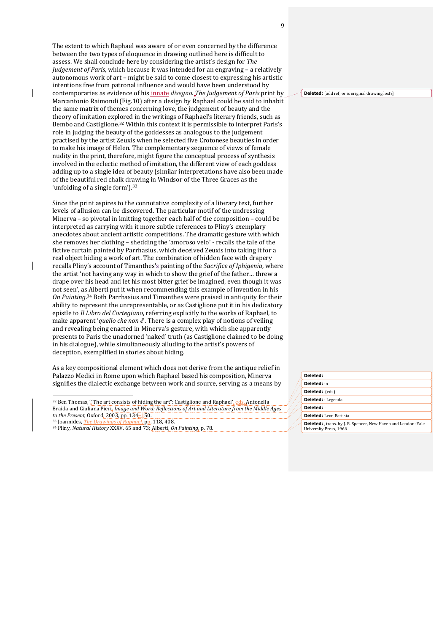The extent to which Raphael was aware of or even concerned by the difference between the two types of eloquence in drawing outlined here is difficult to assess. We shall conclude here by considering the artist's design for *The Judgement of Paris*, which because it was intended for an engraving – a relatively autonomous work of art - might be said to come closest to expressing his artistic intentions free from patronal influence and would have been understood by contemporaries as evidence of his innate *disegno*. *The Judgement of Paris* print by Marcantonio Raimondi (Fig.10) after a design by Raphael could be said to inhabit the same matrix of themes concerning love, the judgement of beauty and the theory of imitation explored in the writings of Raphael's literary friends, such as Bembo and Castiglione.<sup>32</sup> Within this context it is permissible to interpret Paris's role in judging the beauty of the goddesses as analogous to the judgement practised by the artist Zeuxis when he selected five Crotonese beauties in order to make his image of Helen. The complementary sequence of views of female nudity in the print, therefore, might figure the conceptual process of synthesis involved in the eclectic method of imitation, the different view of each goddess adding up to a single idea of beauty (similar interpretations have also been made of the beautiful red chalk drawing in Windsor of the Three Graces as the 'unfolding of a single form'). $33$ 

Since the print aspires to the connotative complexity of a literary text, further levels of allusion can be discovered. The particular motif of the undressing Minerva – so pivotal in knitting together each half of the composition – could be interpreted as carrying with it more subtle references to Pliny's exemplary anecdotes about ancient artistic competitions. The dramatic gesture with which she removes her clothing - shedding the 'amoroso velo' - recalls the tale of the fictive curtain painted by Parrhasius, which deceived Zeuxis into taking it for a real object hiding a work of art. The combination of hidden face with drapery recalls Pliny's account of Timanthes's painting of the *Sacrifice of Iphigenia*, where the artist 'not having any way in which to show the grief of the father... threw a drape over his head and let his most bitter grief be imagined, even though it was not seen', as Alberti put it when recommending this example of invention in his On Painting.<sup>34</sup> Both Parrhasius and Timanthes were praised in antiquity for their ability to represent the unrepresentable, or as Castiglione put it in his dedicatory epistle to *Il Libro del Cortegiano*, referring explicitly to the works of Raphael, to make apparent 'quello che non è'. There is a complex play of notions of veiling and revealing being enacted in Minerva's gesture, with which she apparently presents to Paris the unadorned 'naked' truth (as Castiglione claimed to be doing in his dialogue), while simultaneously alluding to the artist's powers of deception, exemplified in stories about hiding.

As a key compositional element which does not derive from the antique relief in Palazzo Medici in Rome upon which Raphael based his composition, Minerva signifies the dialectic exchange between work and source, serving as a means by

<sup>32</sup> Ben Thomas, "The art consists of hiding the art": Castiglione and Raphael', eds. Antonella Braida and Giuliana Pieri, *Image and Word: Reflections of Art and Literature from the Middle Ages to* the Present, Oxford, 2003, pp. 134-150.

<sup>33</sup> Joannides, *The Drawings of Raphael*, pp. 118, 408.

 $\overline{a}$ 

 $\overline{\phantom{a}}$ 

<sup>34</sup> Pliny, *Natural History* XXXV, 65 and 73; Alberti, *On Painting*, p. 78.

**Deleted:** [add ref; or is original drawing lost?]

| Deleted:                                                                                        |
|-------------------------------------------------------------------------------------------------|
| Deleted: in                                                                                     |
| Deleted: (eds)                                                                                  |
| <b>Deleted:</b> : Legenda                                                                       |
| Deleted: -                                                                                      |
| Deleted: Leon Battista                                                                          |
| <b>Deleted:</b> , trans. by J. R. Spencer, New Haven and London: Yale<br>University Press, 1966 |